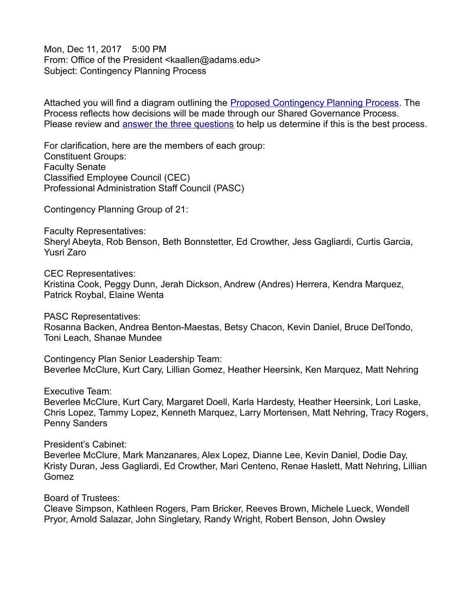Mon, Dec 11, 2017 5:00 PM From: Office of the President <kaallen@adams.edu> Subject: Contingency Planning Process

Attached you will find a diagram outlining the [Proposed Contingency Planning Process.](https://watchingadams.files.wordpress.com/2017/12/diagram.pdf) The Process reflects how decisions will be made through our Shared Governance Process. Please review and [answer the three questions](https://www.surveymonkey.com/r/contingencyplanningprocess) to help us determine if this is the best process.

For clarification, here are the members of each group: Constituent Groups: Faculty Senate Classified Employee Council (CEC) Professional Administration Staff Council (PASC)

Contingency Planning Group of 21:

Faculty Representatives: Sheryl Abeyta, Rob Benson, Beth Bonnstetter, Ed Crowther, Jess Gagliardi, Curtis Garcia, Yusri Zaro

CEC Representatives: Kristina Cook, Peggy Dunn, Jerah Dickson, Andrew (Andres) Herrera, Kendra Marquez, Patrick Roybal, Elaine Wenta

PASC Representatives: Rosanna Backen, Andrea Benton-Maestas, Betsy Chacon, Kevin Daniel, Bruce DelTondo, Toni Leach, Shanae Mundee

Contingency Plan Senior Leadership Team: Beverlee McClure, Kurt Cary, Lillian Gomez, Heather Heersink, Ken Marquez, Matt Nehring

Executive Team:

Beverlee McClure, Kurt Cary, Margaret Doell, Karla Hardesty, Heather Heersink, Lori Laske, Chris Lopez, Tammy Lopez, Kenneth Marquez, Larry Mortensen, Matt Nehring, Tracy Rogers, Penny Sanders

President's Cabinet:

Beverlee McClure, Mark Manzanares, Alex Lopez, Dianne Lee, Kevin Daniel, Dodie Day, Kristy Duran, Jess Gagliardi, Ed Crowther, Mari Centeno, Renae Haslett, Matt Nehring, Lillian Gomez

Board of Trustees:

Cleave Simpson, Kathleen Rogers, Pam Bricker, Reeves Brown, Michele Lueck, Wendell Pryor, Arnold Salazar, John Singletary, Randy Wright, Robert Benson, John Owsley